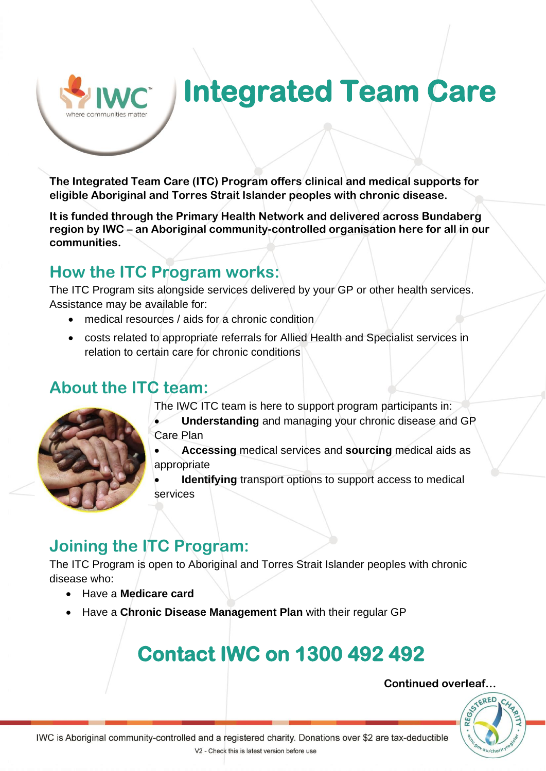# **Integrated Team Care**

**The Integrated Team Care (ITC) Program offers clinical and medical supports for eligible Aboriginal and Torres Strait Islander peoples with chronic disease.** 

**It is funded through the Primary Health Network and delivered across Bundaberg region by IWC – an Aboriginal community-controlled organisation here for all in our communities.**

## **How the ITC Program works:**

The ITC Program sits alongside services delivered by your GP or other health services. Assistance may be available for:

- medical resources / aids for a chronic condition
- costs related to appropriate referrals for Allied Health and Specialist services in relation to certain care for chronic conditions

## **About the ITC team:**

The IWC ITC team is here to support program participants in:

• **Understanding** and managing your chronic disease and GP Care Plan

• **Accessing** medical services and **sourcing** medical aids as appropriate

**Identifying** transport options to support access to medical services

## **Joining the ITC Program:**

The ITC Program is open to Aboriginal and Torres Strait Islander peoples with chronic disease who:

- Have a **Medicare card**
- Have a **Chronic Disease Management Plan** with their regular GP

## **Contact IWC on 1300 492 492**

#### **Continued overleaf…**